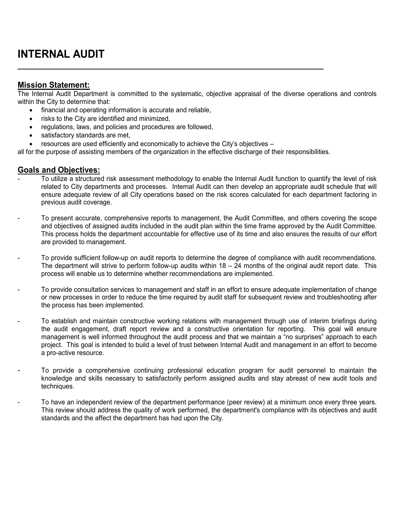## **INTERNAL AUDIT**

## **Mission Statement:**

The Internal Audit Department is committed to the systematic, objective appraisal of the diverse operations and controls within the City to determine that:

- financial and operating information is accurate and reliable,
- risks to the City are identified and minimized,
- regulations, laws, and policies and procedures are followed,
- satisfactory standards are met,
- resources are used efficiently and economically to achieve the City's objectives –

all for the purpose of assisting members of the organization in the effective discharge of their responsibilities.

## **Goals and Objectives:**

- To utilize a structured risk assessment methodology to enable the Internal Audit function to quantify the level of risk related to City departments and processes. Internal Audit can then develop an appropriate audit schedule that will ensure adequate review of all City operations based on the risk scores calculated for each department factoring in previous audit coverage.
- To present accurate, comprehensive reports to management, the Audit Committee, and others covering the scope and objectives of assigned audits included in the audit plan within the time frame approved by the Audit Committee. This process holds the department accountable for effective use of its time and also ensures the results of our effort are provided to management.
- To provide sufficient follow-up on audit reports to determine the degree of compliance with audit recommendations. The department will strive to perform follow-up audits within  $18 - 24$  months of the original audit report date. This process will enable us to determine whether recommendations are implemented.
- To provide consultation services to management and staff in an effort to ensure adequate implementation of change or new processes in order to reduce the time required by audit staff for subsequent review and troubleshooting after the process has been implemented.
- To establish and maintain constructive working relations with management through use of interim briefings during the audit engagement, draft report review and a constructive orientation for reporting. This goal will ensure management is well informed throughout the audit process and that we maintain a "no surprises" approach to each project. This goal is intended to build a level of trust between Internal Audit and management in an effort to become a pro-active resource.
- To provide a comprehensive continuing professional education program for audit personnel to maintain the knowledge and skills necessary to satisfactorily perform assigned audits and stay abreast of new audit tools and techniques.
- To have an independent review of the department performance (peer review) at a minimum once every three years. This review should address the quality of work performed, the department's compliance with its objectives and audit standards and the affect the department has had upon the City.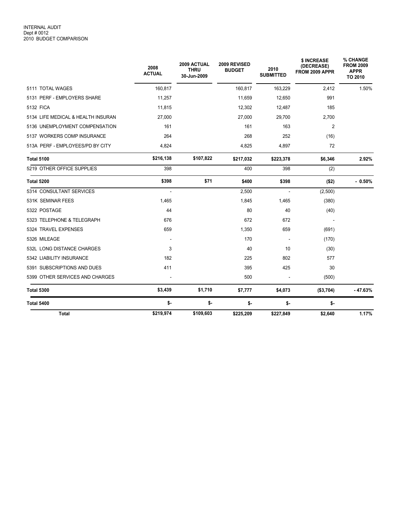|                                    | 2008<br><b>ACTUAL</b> | 2009 ACTUAL<br><b>THRU</b><br>30-Jun-2009 | 2009 REVISED<br><b>BUDGET</b> | 2010<br><b>SUBMITTED</b> | \$ INCREASE<br>(DECREASE)<br>FROM 2009 APPR | % CHANGE<br><b>FROM 2009</b><br><b>APPR</b><br>TO 2010 |
|------------------------------------|-----------------------|-------------------------------------------|-------------------------------|--------------------------|---------------------------------------------|--------------------------------------------------------|
| 5111 TOTAL WAGES                   | 160,817               |                                           | 160,817                       | 163,229                  | 2,412                                       | 1.50%                                                  |
| 5131 PERF - EMPLOYERS SHARE        | 11,257                |                                           | 11,659                        | 12,650                   | 991                                         |                                                        |
| 5132 FICA                          | 11.815                |                                           | 12,302                        | 12,487                   | 185                                         |                                                        |
| 5134 LIFE MEDICAL & HEALTH INSURAN | 27,000                |                                           | 27,000                        | 29,700                   | 2,700                                       |                                                        |
| 5136 UNEMPLOYMENT COMPENSATION     | 161                   |                                           | 161                           | 163                      | $\overline{2}$                              |                                                        |
| 5137 WORKERS COMP INSURANCE        | 264                   |                                           | 268                           | 252                      | (16)                                        |                                                        |
| 513A PERF - EMPLOYEES/PD BY CITY   | 4,824                 |                                           | 4,825                         | 4,897                    | 72                                          |                                                        |
| <b>Total 5100</b>                  | \$216,138             | \$107,822                                 | \$217,032                     | \$223,378                | \$6,346                                     | 2.92%                                                  |
| 5219 OTHER OFFICE SUPPLIES         | 398                   |                                           | 400                           | 398                      | (2)                                         |                                                        |
| <b>Total 5200</b>                  | \$398                 | \$71                                      | \$400                         | \$398                    | ( \$2)                                      | $-0.50%$                                               |
| 5314 CONSULTANT SERVICES           |                       |                                           | 2,500                         |                          | (2,500)                                     |                                                        |
| 531K SEMINAR FEES                  | 1,465                 |                                           | 1,845                         | 1,465                    | (380)                                       |                                                        |
| 5322 POSTAGE                       | 44                    |                                           | 80                            | 40                       | (40)                                        |                                                        |
| 5323 TELEPHONE & TELEGRAPH         | 676                   |                                           | 672                           | 672                      |                                             |                                                        |
| 5324 TRAVEL EXPENSES               | 659                   |                                           | 1,350                         | 659                      | (691)                                       |                                                        |
| 5326 MILEAGE                       | $\blacksquare$        |                                           | 170                           | $\overline{\phantom{a}}$ | (170)                                       |                                                        |
| 532L LONG DISTANCE CHARGES         | 3                     |                                           | 40                            | 10                       | (30)                                        |                                                        |
| 5342 LIABILITY INSURANCE           | 182                   |                                           | 225                           | 802                      | 577                                         |                                                        |
| 5391 SUBSCRIPTIONS AND DUES        | 411                   |                                           | 395                           | 425                      | 30                                          |                                                        |
| 5399 OTHER SERVICES AND CHARGES    |                       |                                           | 500                           | $\blacksquare$           | (500)                                       |                                                        |
| <b>Total 5300</b>                  | \$3,439               | \$1,710                                   | \$7,777                       | \$4,073                  | (\$3,704)                                   | $-47.63%$                                              |
| <b>Total 5400</b>                  | \$-                   | \$-                                       | \$-                           | $$-$                     | \$-                                         |                                                        |
| <b>Total</b>                       | \$219,974             | \$109,603                                 | \$225,209                     | \$227,849                | \$2,640                                     | 1.17%                                                  |